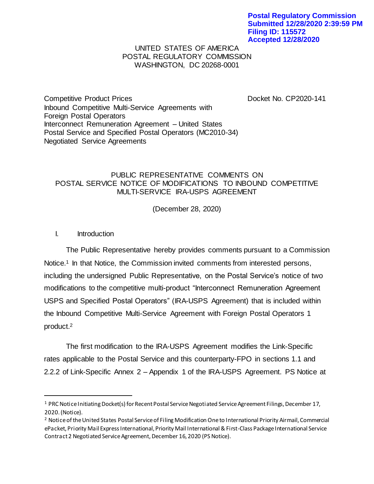## UNITED STATES OF AMERICA POSTAL REGULATORY COMMISSION WASHINGTON, DC 20268-0001

Competitive Product Prices Docket No. CP2020-141 Inbound Competitive Multi-Service Agreements with Foreign Postal Operators Interconnect Remuneration Agreement – United States Postal Service and Specified Postal Operators (MC2010-34) Negotiated Service Agreements

## PUBLIC REPRESENTATIVE COMMENTS ON POSTAL SERVICE NOTICE OF MODIFICATIONS TO INBOUND COMPETITIVE MULTI-SERVICE IRA-USPS AGREEMENT

(December 28, 2020)

## I. Introduction

l

The Public Representative hereby provides comments pursuant to a Commission Notice.<sup>1</sup> In that Notice, the Commission invited comments from interested persons, including the undersigned Public Representative, on the Postal Service's notice of two modifications to the competitive multi-product "Interconnect Remuneration Agreement USPS and Specified Postal Operators" (IRA-USPS Agreement) that is included within the Inbound Competitive Multi-Service Agreement with Foreign Postal Operators 1 product.<sup>2</sup>

The first modification to the IRA-USPS Agreement modifies the Link-Specific rates applicable to the Postal Service and this counterparty-FPO in sections 1.1 and 2.2.2 of Link-Specific Annex 2 – Appendix 1 of the IRA-USPS Agreement. PS Notice at

<sup>&</sup>lt;sup>1</sup> PRC Notice Initiating Docket(s) for Recent Postal Service Negotiated Service Agreement Filings, December 17, 2020.(Notice).

<sup>&</sup>lt;sup>2</sup> Notice of the United States Postal Service of Filing Modification One to International Priority Airmail, Commercial ePacket, Priority Mail Express International, Priority Mail International & First-Class Package International Service Contract 2 Negotiated Service Agreement, December 16, 2020 (PS Notice).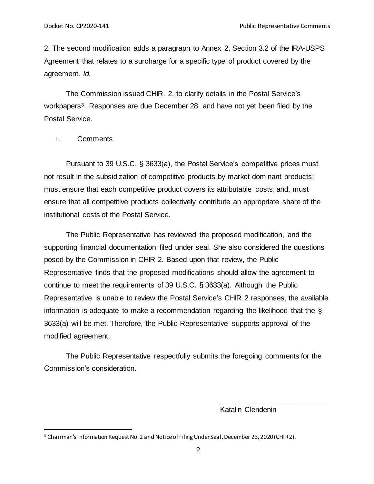2. The second modification adds a paragraph to Annex 2, Section 3.2 of the IRA-USPS Agreement that relates to a surcharge for a specific type of product covered by the agreement. *Id.*

The Commission issued CHIR. 2, to clarify details in the Postal Service's workpapers<sup>3</sup>. Responses are due December 28, and have not yet been filed by the Postal Service.

II. Comments

l

Pursuant to 39 U.S.C. § 3633(a), the Postal Service's competitive prices must not result in the subsidization of competitive products by market dominant products; must ensure that each competitive product covers its attributable costs; and, must ensure that all competitive products collectively contribute an appropriate share of the institutional costs of the Postal Service.

The Public Representative has reviewed the proposed modification, and the supporting financial documentation filed under seal. She also considered the questions posed by the Commission in CHIR 2. Based upon that review, the Public Representative finds that the proposed modifications should allow the agreement to continue to meet the requirements of 39 U.S.C. § 3633(a). Although the Public Representative is unable to review the Postal Service's CHIR 2 responses, the available information is adequate to make a recommendation regarding the likelihood that the § 3633(a) will be met. Therefore, the Public Representative supports approval of the modified agreement.

The Public Representative respectfully submits the foregoing comments for the Commission's consideration.

Katalin Clendenin

\_\_\_\_\_\_\_\_\_\_\_\_\_\_\_\_\_\_\_\_\_\_\_\_\_\_

<sup>&</sup>lt;sup>3</sup> Chairman's Information Request No. 2 and Notice of Filing Under Seal, December 23, 2020 (CHIR2).